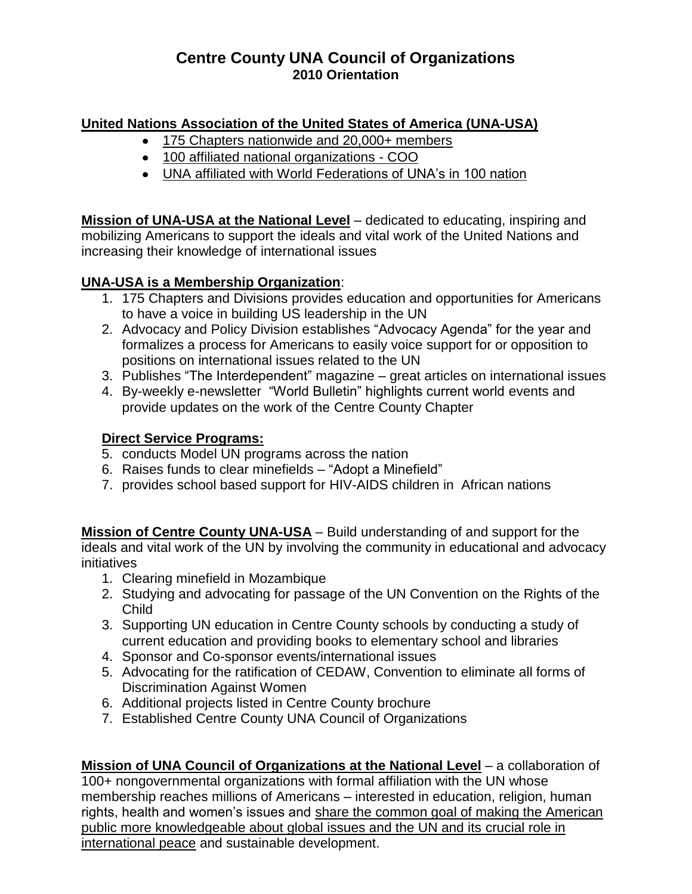# **Centre County UNA Council of Organizations 2010 Orientation**

## **United Nations Association of the United States of America (UNA-USA)**

- 175 Chapters nationwide and 20,000+ members
- 100 affiliated national organizations COO
- UNA affiliated with World Federations of UNA's in 100 nation

**Mission of UNA-USA at the National Level** – dedicated to educating, inspiring and mobilizing Americans to support the ideals and vital work of the United Nations and increasing their knowledge of international issues

## **UNA-USA is a Membership Organization**:

- 1. 175 Chapters and Divisions provides education and opportunities for Americans to have a voice in building US leadership in the UN
- 2. Advocacy and Policy Division establishes "Advocacy Agenda" for the year and formalizes a process for Americans to easily voice support for or opposition to positions on international issues related to the UN
- 3. Publishes "The Interdependent" magazine great articles on international issues
- 4. By-weekly e-newsletter "World Bulletin" highlights current world events and provide updates on the work of the Centre County Chapter

### **Direct Service Programs:**

- 5. conducts Model UN programs across the nation
- 6. Raises funds to clear minefields "Adopt a Minefield"
- 7. provides school based support for HIV-AIDS children in African nations

**Mission of Centre County UNA-USA** – Build understanding of and support for the ideals and vital work of the UN by involving the community in educational and advocacy initiatives

- 1. Clearing minefield in Mozambique
- 2. Studying and advocating for passage of the UN Convention on the Rights of the Child
- 3. Supporting UN education in Centre County schools by conducting a study of current education and providing books to elementary school and libraries
- 4. Sponsor and Co-sponsor events/international issues
- 5. Advocating for the ratification of CEDAW, Convention to eliminate all forms of Discrimination Against Women
- 6. Additional projects listed in Centre County brochure
- 7. Established Centre County UNA Council of Organizations

**Mission of UNA Council of Organizations at the National Level** – a collaboration of 100+ nongovernmental organizations with formal affiliation with the UN whose membership reaches millions of Americans – interested in education, religion, human rights, health and women's issues and share the common goal of making the American public more knowledgeable about global issues and the UN and its crucial role in international peace and sustainable development.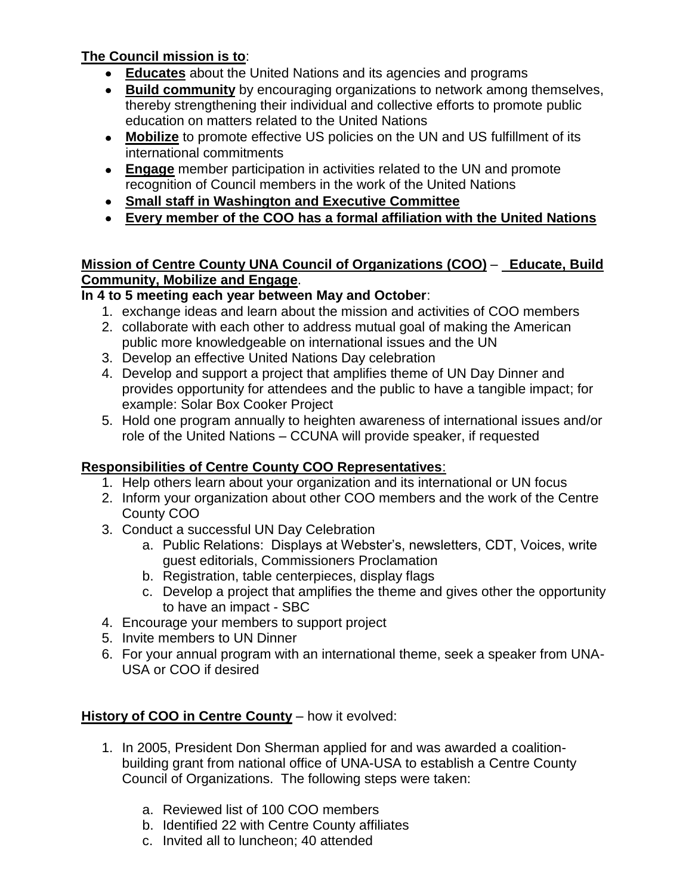## **The Council mission is to**:

- **Educates** about the United Nations and its agencies and programs
- **Build community** by encouraging organizations to network among themselves, thereby strengthening their individual and collective efforts to promote public education on matters related to the United Nations
- **Mobilize** to promote effective US policies on the UN and US fulfillment of its international commitments
- **Engage** member participation in activities related to the UN and promote recognition of Council members in the work of the United Nations
- **Small staff in Washington and Executive Committee**
- **Every member of the COO has a formal affiliation with the United Nations**

### **Mission of Centre County UNA Council of Organizations (COO)** – **Educate, Build Community, Mobilize and Engage**.

## **In 4 to 5 meeting each year between May and October**:

- 1. exchange ideas and learn about the mission and activities of COO members
- 2. collaborate with each other to address mutual goal of making the American public more knowledgeable on international issues and the UN
- 3. Develop an effective United Nations Day celebration
- 4. Develop and support a project that amplifies theme of UN Day Dinner and provides opportunity for attendees and the public to have a tangible impact; for example: Solar Box Cooker Project
- 5. Hold one program annually to heighten awareness of international issues and/or role of the United Nations – CCUNA will provide speaker, if requested

### **Responsibilities of Centre County COO Representatives**:

- 1. Help others learn about your organization and its international or UN focus
- 2. Inform your organization about other COO members and the work of the Centre County COO
- 3. Conduct a successful UN Day Celebration
	- a. Public Relations: Displays at Webster's, newsletters, CDT, Voices, write guest editorials, Commissioners Proclamation
	- b. Registration, table centerpieces, display flags
	- c. Develop a project that amplifies the theme and gives other the opportunity to have an impact - SBC
- 4. Encourage your members to support project
- 5. Invite members to UN Dinner
- 6. For your annual program with an international theme, seek a speaker from UNA-USA or COO if desired

### **History of COO in Centre County** – how it evolved:

- 1. In 2005, President Don Sherman applied for and was awarded a coalitionbuilding grant from national office of UNA-USA to establish a Centre County Council of Organizations. The following steps were taken:
	- a. Reviewed list of 100 COO members
	- b. Identified 22 with Centre County affiliates
	- c. Invited all to luncheon; 40 attended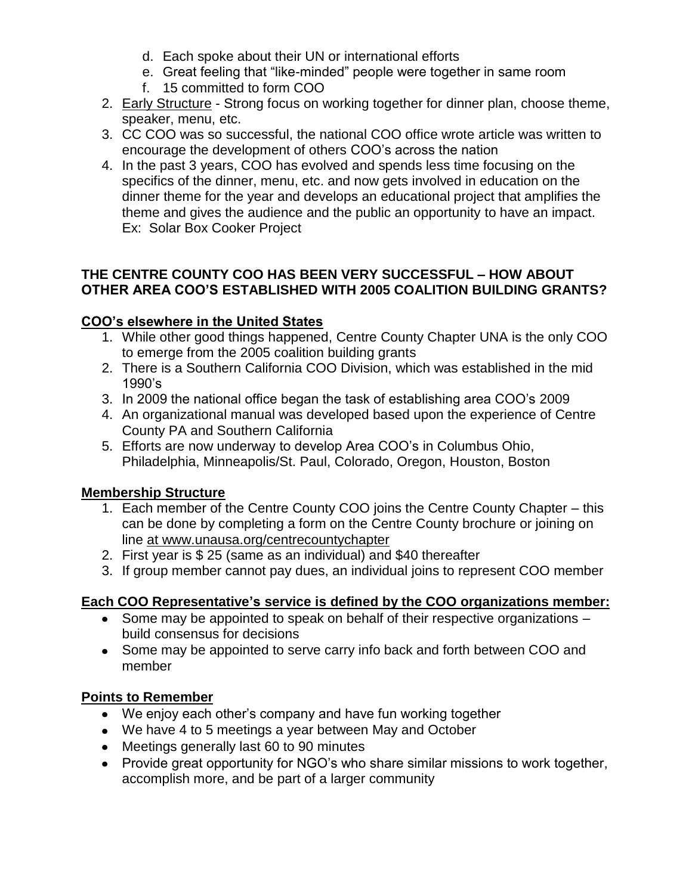- d. Each spoke about their UN or international efforts
- e. Great feeling that "like-minded" people were together in same room
- f. 15 committed to form COO
- 2. Early Structure Strong focus on working together for dinner plan, choose theme, speaker, menu, etc.
- 3. CC COO was so successful, the national COO office wrote article was written to encourage the development of others COO's across the nation
- 4. In the past 3 years, COO has evolved and spends less time focusing on the specifics of the dinner, menu, etc. and now gets involved in education on the dinner theme for the year and develops an educational project that amplifies the theme and gives the audience and the public an opportunity to have an impact. Ex: Solar Box Cooker Project

#### **THE CENTRE COUNTY COO HAS BEEN VERY SUCCESSFUL – HOW ABOUT OTHER AREA COO'S ESTABLISHED WITH 2005 COALITION BUILDING GRANTS?**

### **COO's elsewhere in the United States**

- 1. While other good things happened, Centre County Chapter UNA is the only COO to emerge from the 2005 coalition building grants
- 2. There is a Southern California COO Division, which was established in the mid 1990's
- 3. In 2009 the national office began the task of establishing area COO's 2009
- 4. An organizational manual was developed based upon the experience of Centre County PA and Southern California
- 5. Efforts are now underway to develop Area COO's in Columbus Ohio, Philadelphia, Minneapolis/St. Paul, Colorado, Oregon, Houston, Boston

### **Membership Structure**

- 1. Each member of the Centre County COO joins the Centre County Chapter this can be done by completing a form on the Centre County brochure or joining on line at www.unausa.org/centrecountychapter
- 2. First year is \$ 25 (same as an individual) and \$40 thereafter
- 3. If group member cannot pay dues, an individual joins to represent COO member

# **Each COO Representative's service is defined by the COO organizations member:**

- Some may be appointed to speak on behalf of their respective organizations build consensus for decisions
- Some may be appointed to serve carry info back and forth between COO and member

### **Points to Remember**

- We enjoy each other's company and have fun working together
- We have 4 to 5 meetings a year between May and October
- Meetings generally last 60 to 90 minutes
- Provide great opportunity for NGO's who share similar missions to work together, accomplish more, and be part of a larger community